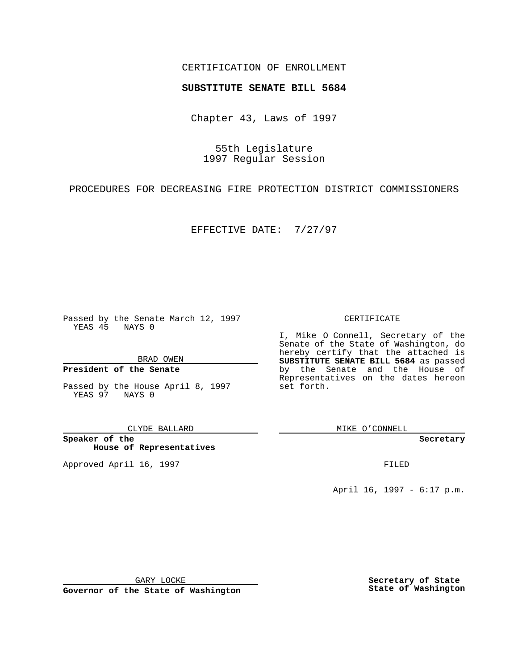### CERTIFICATION OF ENROLLMENT

# **SUBSTITUTE SENATE BILL 5684**

Chapter 43, Laws of 1997

55th Legislature 1997 Regular Session

PROCEDURES FOR DECREASING FIRE PROTECTION DISTRICT COMMISSIONERS

EFFECTIVE DATE: 7/27/97

Passed by the Senate March 12, 1997 YEAS 45 NAYS 0

BRAD OWEN

### **President of the Senate**

Passed by the House April 8, 1997 YEAS 97 NAYS 0

CLYDE BALLARD

**Speaker of the House of Representatives**

Approved April 16, 1997 **FILED** 

#### CERTIFICATE

I, Mike O Connell, Secretary of the Senate of the State of Washington, do hereby certify that the attached is **SUBSTITUTE SENATE BILL 5684** as passed by the Senate and the House of Representatives on the dates hereon set forth.

MIKE O'CONNELL

**Secretary**

April 16, 1997 - 6:17 p.m.

GARY LOCKE

**Governor of the State of Washington**

**Secretary of State State of Washington**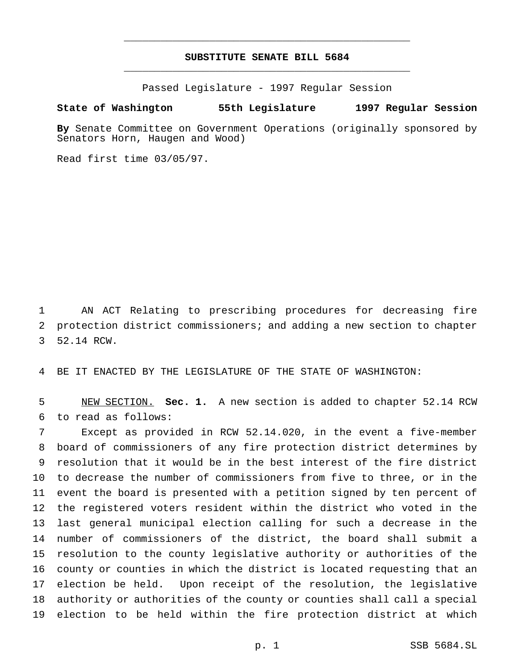## **SUBSTITUTE SENATE BILL 5684** \_\_\_\_\_\_\_\_\_\_\_\_\_\_\_\_\_\_\_\_\_\_\_\_\_\_\_\_\_\_\_\_\_\_\_\_\_\_\_\_\_\_\_\_\_\_\_

\_\_\_\_\_\_\_\_\_\_\_\_\_\_\_\_\_\_\_\_\_\_\_\_\_\_\_\_\_\_\_\_\_\_\_\_\_\_\_\_\_\_\_\_\_\_\_

Passed Legislature - 1997 Regular Session

#### **State of Washington 55th Legislature 1997 Regular Session**

**By** Senate Committee on Government Operations (originally sponsored by Senators Horn, Haugen and Wood)

Read first time 03/05/97.

 AN ACT Relating to prescribing procedures for decreasing fire protection district commissioners; and adding a new section to chapter 52.14 RCW.

BE IT ENACTED BY THE LEGISLATURE OF THE STATE OF WASHINGTON:

 NEW SECTION. **Sec. 1.** A new section is added to chapter 52.14 RCW to read as follows:

 Except as provided in RCW 52.14.020, in the event a five-member board of commissioners of any fire protection district determines by resolution that it would be in the best interest of the fire district to decrease the number of commissioners from five to three, or in the event the board is presented with a petition signed by ten percent of the registered voters resident within the district who voted in the last general municipal election calling for such a decrease in the number of commissioners of the district, the board shall submit a resolution to the county legislative authority or authorities of the county or counties in which the district is located requesting that an election be held. Upon receipt of the resolution, the legislative authority or authorities of the county or counties shall call a special election to be held within the fire protection district at which